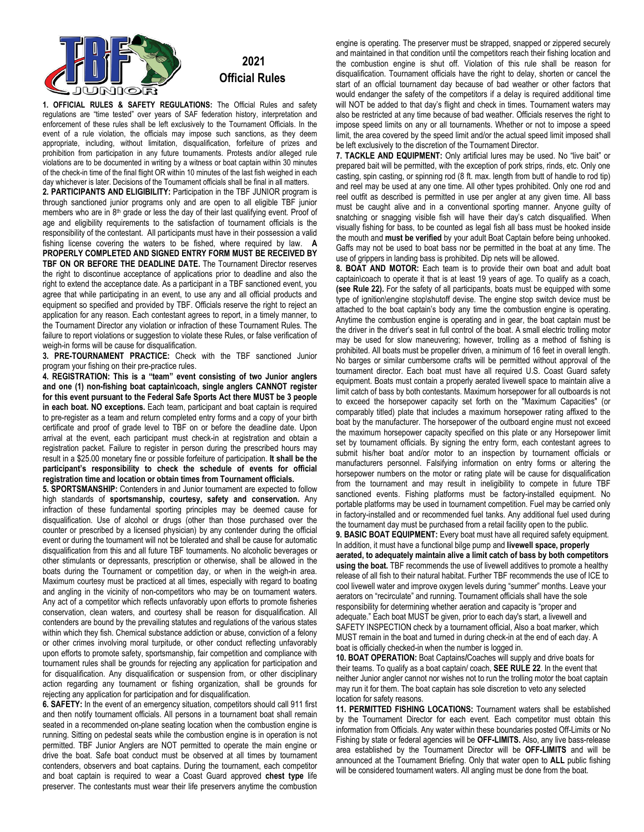

## **2021 Official Rules**

**1. OFFICIAL RULES & SAFETY REGULATIONS:** The Official Rules and safety regulations are "time tested" over years of SAF federation history, interpretation and enforcement of these rules shall be left exclusively to the Tournament Officials. In the event of a rule violation, the officials may impose such sanctions, as they deem appropriate, including, without limitation, disqualification, forfeiture of prizes and prohibition from participation in any future tournaments. Protests and/or alleged rule violations are to be documented in writing by a witness or boat captain within 30 minutes of the check-in time of the final flight OR within 10 minutes of the last fish weighed in each day whichever is later. Decisions of the Tournament officials shall be final in all matters.

**2. PARTICIPANTS AND ELIGIBILITY:** Participation in the TBF JUNIOR program is through sanctioned junior programs only and are open to all eligible TBF junior members who are in 8<sup>th</sup> grade or less the day of their last qualifying event. Proof of age and eligibility requirements to the satisfaction of tournament officials is the responsibility of the contestant. All participants must have in their possession a valid fishing license covering the waters to be fished, where required by law. **A PROPERLY COMPLETED AND SIGNED ENTRY FORM MUST BE RECEIVED BY TBF ON OR BEFORE THE DEADLINE DATE.** The Tournament Director reserves the right to discontinue acceptance of applications prior to deadline and also the right to extend the acceptance date. As a participant in a TBF sanctioned event, you agree that while participating in an event, to use any and all official products and equipment so specified and provided by TBF. Officials reserve the right to reject an application for any reason. Each contestant agrees to report, in a timely manner, to the Tournament Director any violation or infraction of these Tournament Rules. The failure to report violations or suggestion to violate these Rules, or false verification of weigh-in forms will be cause for disqualification.

**3. PRE-TOURNAMENT PRACTICE:** Check with the TBF sanctioned Junior program your fishing on their pre-practice rules.

**4. REGISTRATION: This is a "team" event consisting of two Junior anglers and one (1) non-fishing boat captain\coach, single anglers CANNOT register for this event pursuant to the Federal Safe Sports Act there MUST be 3 people in each boat. NO exceptions.** Each team, participant and boat captain is required to pre-register as a team and return completed entry forms and a copy of your birth certificate and proof of grade level to TBF on or before the deadline date. Upon arrival at the event, each participant must check-in at registration and obtain a registration packet. Failure to register in person during the prescribed hours may result in a \$25.00 monetary fine or possible forfeiture of participation. **It shall be the participant's responsibility to check the schedule of events for official registration time and location or obtain times from Tournament officials.**

**5. SPORTSMANSHIP:** Contenders in and Junior tournament are expected to follow high standards of **sportsmanship, courtesy, safety and conservation.** Any infraction of these fundamental sporting principles may be deemed cause for disqualification. Use of alcohol or drugs (other than those purchased over the counter or prescribed by a licensed physician) by any contender during the official event or during the tournament will not be tolerated and shall be cause for automatic disqualification from this and all future TBF tournaments. No alcoholic beverages or other stimulants or depressants, prescription or otherwise, shall be allowed in the boats during the Tournament or competition day, or when in the weigh-in area. Maximum courtesy must be practiced at all times, especially with regard to boating and angling in the vicinity of non-competitors who may be on tournament waters. Any act of a competitor which reflects unfavorably upon efforts to promote fisheries conservation, clean waters, and courtesy shall be reason for disqualification. All contenders are bound by the prevailing statutes and regulations of the various states within which they fish. Chemical substance addiction or abuse, conviction of a felony or other crimes involving moral turpitude, or other conduct reflecting unfavorably upon efforts to promote safety, sportsmanship, fair competition and compliance with tournament rules shall be grounds for rejecting any application for participation and for disqualification. Any disqualification or suspension from, or other disciplinary action regarding any tournament or fishing organization, shall be grounds for rejecting any application for participation and for disqualification.

**6. SAFETY:** In the event of an emergency situation, competitors should call 911 first and then notify tournament officials. All persons in a tournament boat shall remain seated in a recommended on-plane seating location when the combustion engine is running. Sitting on pedestal seats while the combustion engine is in operation is not permitted. TBF Junior Anglers are NOT permitted to operate the main engine or drive the boat. Safe boat conduct must be observed at all times by tournament contenders, observers and boat captains. During the tournament, each competitor and boat captain is required to wear a Coast Guard approved **chest type** life preserver. The contestants must wear their life preservers anytime the combustion engine is operating. The preserver must be strapped, snapped or zippered securely and maintained in that condition until the competitors reach their fishing location and the combustion engine is shut off. Violation of this rule shall be reason for disqualification. Tournament officials have the right to delay, shorten or cancel the start of an official tournament day because of bad weather or other factors that would endanger the safety of the competitors if a delay is required additional time will NOT be added to that day's flight and check in times. Tournament waters may also be restricted at any time because of bad weather. Officials reserves the right to impose speed limits on any or all tournaments. Whether or not to impose a speed limit, the area covered by the speed limit and/or the actual speed limit imposed shall be left exclusively to the discretion of the Tournament Director.

**7. TACKLE AND EQUIPMENT:** Only artificial lures may be used. No "live bait" or prepared bait will be permitted, with the exception of pork strips, rinds, etc. Only one casting, spin casting, or spinning rod (8 ft. max. length from butt of handle to rod tip) and reel may be used at any one time. All other types prohibited. Only one rod and reel outfit as described is permitted in use per angler at any given time. All bass must be caught alive and in a conventional sporting manner. Anyone guilty of snatching or snagging visible fish will have their day's catch disqualified. When visually fishing for bass, to be counted as legal fish all bass must be hooked inside the mouth and **must be verified** by your adult Boat Captain before being unhooked. Gaffs may not be used to boat bass nor be permitted in the boat at any time. The use of grippers in landing bass is prohibited. Dip nets will be allowed.

**8. BOAT AND MOTOR:** Each team is to provide their own boat and adult boat captain\coach to operate it that is at least 19 years of age. To qualify as a coach, **(see Rule 22).** For the safety of all participants, boats must be equipped with some type of ignition\engine stop\shutoff devise. The engine stop switch device must be attached to the boat captain's body any time the combustion engine is operating. Anytime the combustion engine is operating and in gear, the boat captain must be the driver in the driver's seat in full control of the boat. A small electric trolling motor may be used for slow maneuvering; however, trolling as a method of fishing is prohibited. All boats must be propeller driven, a minimum of 16 feet in overall length. No barges or similar cumbersome crafts will be permitted without approval of the tournament director. Each boat must have all required U.S. Coast Guard safety equipment. Boats must contain a properly aerated livewell space to maintain alive a limit catch of bass by both contestants. Maximum horsepower for all outboards is not to exceed the horsepower capacity set forth on the "Maximum Capacities" (or comparably titled) plate that includes a maximum horsepower rating affixed to the boat by the manufacturer. The horsepower of the outboard engine must not exceed the maximum horsepower capacity specified on this plate or any Horsepower limit set by tournament officials. By signing the entry form, each contestant agrees to submit his/her boat and/or motor to an inspection by tournament officials or manufacturers personnel. Falsifying information on entry forms or altering the horsepower numbers on the motor or rating plate will be cause for disqualification from the tournament and may result in ineligibility to compete in future TBF sanctioned events. Fishing platforms must be factory-installed equipment. No portable platforms may be used in tournament competition. Fuel may be carried only in factory-installed and or recommended fuel tanks. Any additional fuel used during the tournament day must be purchased from a retail facility open to the public.

**9. BASIC BOAT EQUIPMENT:** Every boat must have all required safety equipment. In addition, it must have a functional bilge pump and **livewell space, properly aerated, to adequately maintain alive a limit catch of bass by both competitors using the boat.** TBF recommends the use of livewell additives to promote a healthy release of all fish to their natural habitat. Further TBF recommends the use of ICE to cool livewell water and improve oxygen levels during "summer" months. Leave your aerators on "recirculate" and running. Tournament officials shall have the sole responsibility for determining whether aeration and capacity is "proper and adequate." Each boat MUST be given, prior to each day's start, a livewell and SAFETY INSPECTION check by a tournament official, Also a boat marker, which MUST remain in the boat and turned in during check-in at the end of each day. A boat is officially checked-in when the number is logged in.

**10. BOAT OPERATION:** Boat Captains**/**Coaches will supply and drive boats for their teams. To qualify as a boat captain/ coach, **SEE RULE 22**. In the event that neither Junior angler cannot nor wishes not to run the trolling motor the boat captain may run it for them. The boat captain has sole discretion to veto any selected location for safety reasons.

**11. PERMITTED FISHING LOCATIONS:** Tournament waters shall be established by the Tournament Director for each event. Each competitor must obtain this information from Officials. Any water within these boundaries posted Off-Limits or No Fishing by state or federal agencies will be **OFF-LIMITS.** Also, any live bass-release area established by the Tournament Director will be **OFF-LIMITS** and will be announced at the Tournament Briefing. Only that water open to **ALL** public fishing will be considered tournament waters. All angling must be done from the boat.